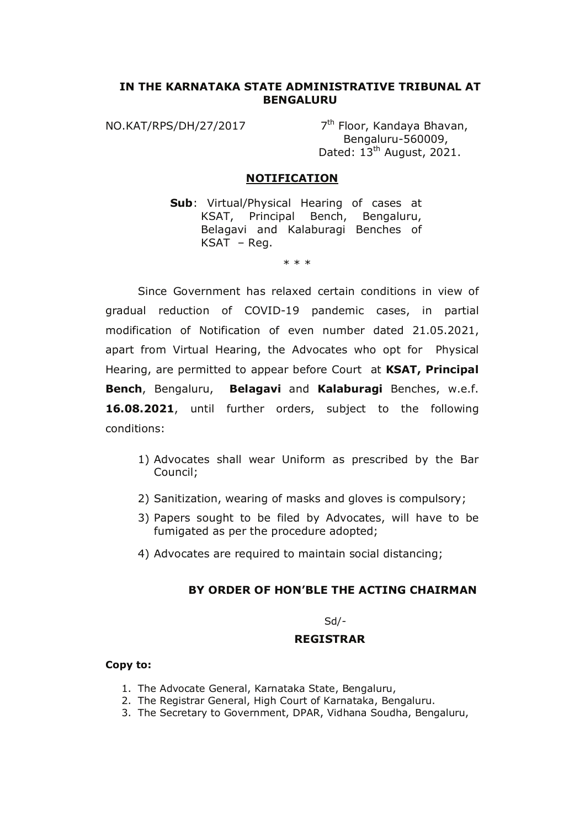# **IN THE KARNATAKA STATE ADMINISTRATIVE TRIBUNAL AT BENGALURU**

NO.KAT/RPS/DH/27/2017 7<sup>th</sup> Floor, Kandaya Bhavan, Bengaluru-560009, Dated: 13<sup>th</sup> August, 2021.

## **NOTIFICATION**

**Sub**: Virtual/Physical Hearing of cases at KSAT, Principal Bench, Bengaluru, Belagavi and Kalaburagi Benches of KSAT – Reg.

\* \* \*

 Since Government has relaxed certain conditions in view of gradual reduction of COVID-19 pandemic cases, in partial modification of Notification of even number dated 21.05.2021, apart from Virtual Hearing, the Advocates who opt for Physical Hearing, are permitted to appear before Court at **KSAT, Principal Bench**, Bengaluru, **Belagavi** and **Kalaburagi** Benches, w.e.f. **16.08.2021**, until further orders, subject to the following conditions:

- 1) Advocates shall wear Uniform as prescribed by the Bar Council;
- 2) Sanitization, wearing of masks and gloves is compulsory;
- 3) Papers sought to be filed by Advocates, will have to be fumigated as per the procedure adopted;
- 4) Advocates are required to maintain social distancing;

# **BY ORDER OF HON'BLE THE ACTING CHAIRMAN**

Sd/-

#### **REGISTRAR**

## **Copy to:**

- 1. The Advocate General, Karnataka State, Bengaluru,
- 2. The Registrar General, High Court of Karnataka, Bengaluru.
- 3. The Secretary to Government, DPAR, Vidhana Soudha, Bengaluru,